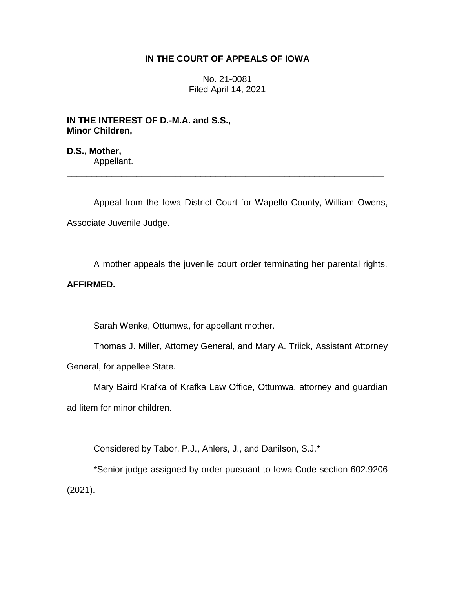## **IN THE COURT OF APPEALS OF IOWA**

No. 21-0081 Filed April 14, 2021

**IN THE INTEREST OF D.-M.A. and S.S., Minor Children,**

**D.S., Mother,** Appellant.

Appeal from the Iowa District Court for Wapello County, William Owens, Associate Juvenile Judge.

\_\_\_\_\_\_\_\_\_\_\_\_\_\_\_\_\_\_\_\_\_\_\_\_\_\_\_\_\_\_\_\_\_\_\_\_\_\_\_\_\_\_\_\_\_\_\_\_\_\_\_\_\_\_\_\_\_\_\_\_\_\_\_\_

A mother appeals the juvenile court order terminating her parental rights.

# **AFFIRMED.**

Sarah Wenke, Ottumwa, for appellant mother.

Thomas J. Miller, Attorney General, and Mary A. Triick, Assistant Attorney General, for appellee State.

Mary Baird Krafka of Krafka Law Office, Ottumwa, attorney and guardian ad litem for minor children.

Considered by Tabor, P.J., Ahlers, J., and Danilson, S.J.\*

\*Senior judge assigned by order pursuant to Iowa Code section 602.9206 (2021).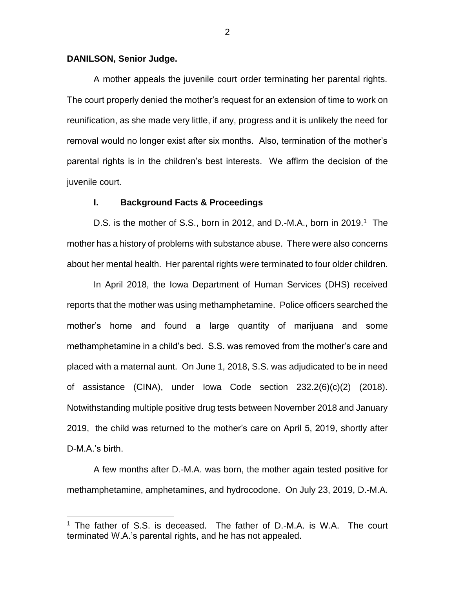## **DANILSON, Senior Judge.**

 $\overline{a}$ 

A mother appeals the juvenile court order terminating her parental rights. The court properly denied the mother's request for an extension of time to work on reunification, as she made very little, if any, progress and it is unlikely the need for removal would no longer exist after six months. Also, termination of the mother's parental rights is in the children's best interests. We affirm the decision of the juvenile court.

#### **I. Background Facts & Proceedings**

D.S. is the mother of S.S., born in 2012, and D.-M.A., born in 2019.<sup>1</sup> The mother has a history of problems with substance abuse. There were also concerns about her mental health. Her parental rights were terminated to four older children.

In April 2018, the Iowa Department of Human Services (DHS) received reports that the mother was using methamphetamine. Police officers searched the mother's home and found a large quantity of marijuana and some methamphetamine in a child's bed. S.S. was removed from the mother's care and placed with a maternal aunt. On June 1, 2018, S.S. was adjudicated to be in need of assistance (CINA), under Iowa Code section 232.2(6)(c)(2) (2018). Notwithstanding multiple positive drug tests between November 2018 and January 2019, the child was returned to the mother's care on April 5, 2019, shortly after D-M.A.'s birth.

A few months after D.-M.A. was born, the mother again tested positive for methamphetamine, amphetamines, and hydrocodone. On July 23, 2019, D.-M.A.

 $1$  The father of S.S. is deceased. The father of D.-M.A. is W.A. The court terminated W.A.'s parental rights, and he has not appealed.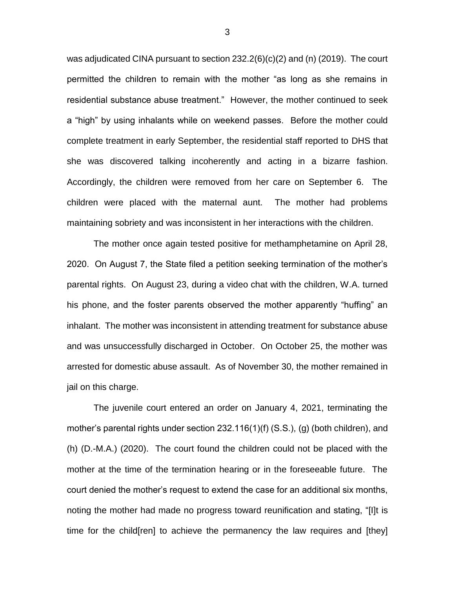was adjudicated CINA pursuant to section 232.2(6)(c)(2) and (n) (2019). The court permitted the children to remain with the mother "as long as she remains in residential substance abuse treatment." However, the mother continued to seek a "high" by using inhalants while on weekend passes. Before the mother could complete treatment in early September, the residential staff reported to DHS that she was discovered talking incoherently and acting in a bizarre fashion. Accordingly, the children were removed from her care on September 6. The children were placed with the maternal aunt. The mother had problems maintaining sobriety and was inconsistent in her interactions with the children.

The mother once again tested positive for methamphetamine on April 28, 2020. On August 7, the State filed a petition seeking termination of the mother's parental rights. On August 23, during a video chat with the children, W.A. turned his phone, and the foster parents observed the mother apparently "huffing" an inhalant. The mother was inconsistent in attending treatment for substance abuse and was unsuccessfully discharged in October. On October 25, the mother was arrested for domestic abuse assault. As of November 30, the mother remained in jail on this charge.

The juvenile court entered an order on January 4, 2021, terminating the mother's parental rights under section 232.116(1)(f) (S.S.), (g) (both children), and (h) (D.-M.A.) (2020). The court found the children could not be placed with the mother at the time of the termination hearing or in the foreseeable future. The court denied the mother's request to extend the case for an additional six months, noting the mother had made no progress toward reunification and stating, "[I]t is time for the child[ren] to achieve the permanency the law requires and [they]

3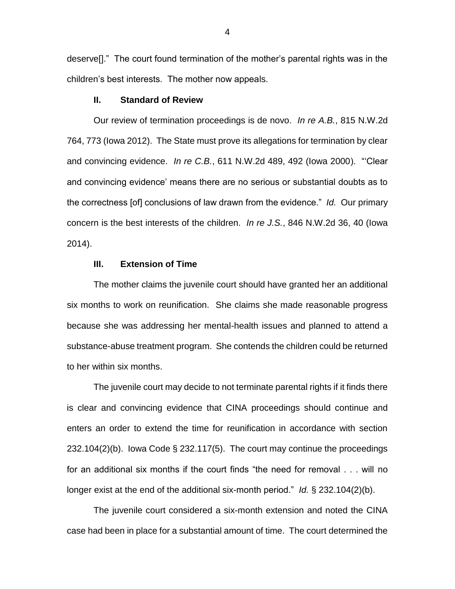deserve[]." The court found termination of the mother's parental rights was in the children's best interests. The mother now appeals.

## **II. Standard of Review**

Our review of termination proceedings is de novo. *In re A.B.*, 815 N.W.2d 764, 773 (Iowa 2012). The State must prove its allegations for termination by clear and convincing evidence. *In re C.B.*, 611 N.W.2d 489, 492 (Iowa 2000). "'Clear and convincing evidence' means there are no serious or substantial doubts as to the correctness [of] conclusions of law drawn from the evidence." *Id.* Our primary concern is the best interests of the children. *In re J.S.*, 846 N.W.2d 36, 40 (Iowa 2014).

## **III. Extension of Time**

The mother claims the juvenile court should have granted her an additional six months to work on reunification. She claims she made reasonable progress because she was addressing her mental-health issues and planned to attend a substance-abuse treatment program. She contends the children could be returned to her within six months.

The juvenile court may decide to not terminate parental rights if it finds there is clear and convincing evidence that CINA proceedings should continue and enters an order to extend the time for reunification in accordance with section 232.104(2)(b). Iowa Code § 232.117(5). The court may continue the proceedings for an additional six months if the court finds "the need for removal . . . will no longer exist at the end of the additional six-month period." *Id.* § 232.104(2)(b).

The juvenile court considered a six-month extension and noted the CINA case had been in place for a substantial amount of time. The court determined the